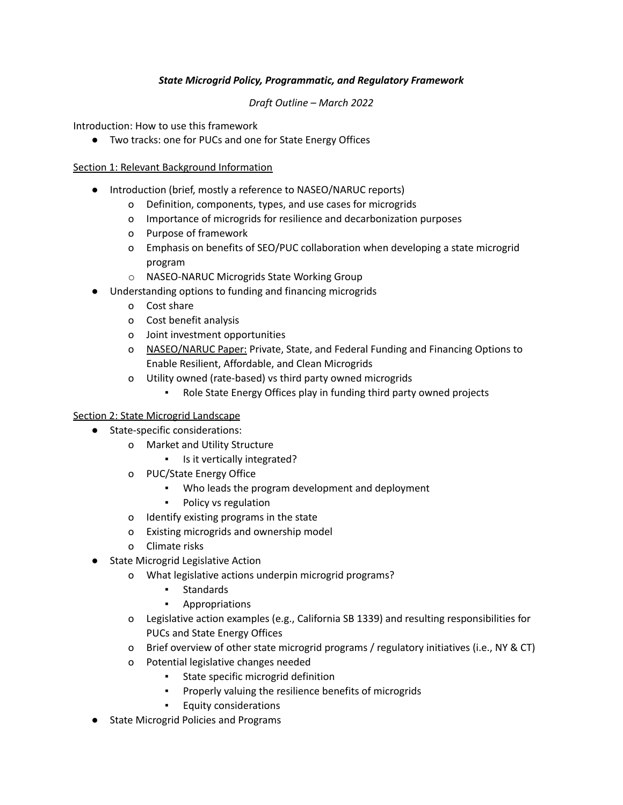# *State Microgrid Policy, Programmatic, and Regulatory Framework*

### *Draft Outline – March 2022*

Introduction: How to use this framework

● Two tracks: one for PUCs and one for State Energy Offices

### Section 1: Relevant Background Information

- Introduction (brief, mostly a reference to NASEO/NARUC reports)
	- o Definition, components, types, and use cases for microgrids
	- o Importance of microgrids for resilience and decarbonization purposes
	- o Purpose of framework
	- o Emphasis on benefits of SEO/PUC collaboration when developing a state microgrid program
	- o NASEO-NARUC Microgrids State Working Group
- Understanding options to funding and financing microgrids
	- o Cost share
	- o Cost benefit analysis
	- o Joint investment opportunities
	- o [NASEO/NARUC](https://www.naseo.org/data/sites/1/documents/publications/v2_NASEO_MicroGrid.pdf) Paper: Private, State, and Federal Funding and Financing Options to Enable Resilient, Affordable, and Clean Microgrids
	- o Utility owned (rate-based) vs third party owned microgrids
		- Role State Energy Offices play in funding third party owned projects

### Section 2: State Microgrid Landscape

- State-specific considerations:
	- o Market and Utility Structure
		- Is it vertically integrated?
	- o PUC/State Energy Office
		- Who leads the program development and deployment
		- Policy vs regulation
	- o Identify existing programs in the state
	- o Existing microgrids and ownership model
	- o Climate risks
- **State Microgrid Legislative Action** 
	- o What legislative actions underpin microgrid programs?
		- **Standards**
		- **Appropriations**
	- o Legislative action examples (e.g., California SB 1339) and resulting responsibilities for PUCs and State Energy Offices
	- o Brief overview of other state microgrid programs / regulatory initiatives (i.e., NY & CT)
	- o Potential legislative changes needed
		- State specific microgrid definition
		- Properly valuing the resilience benefits of microgrids
		- Equity considerations
- State Microgrid Policies and Programs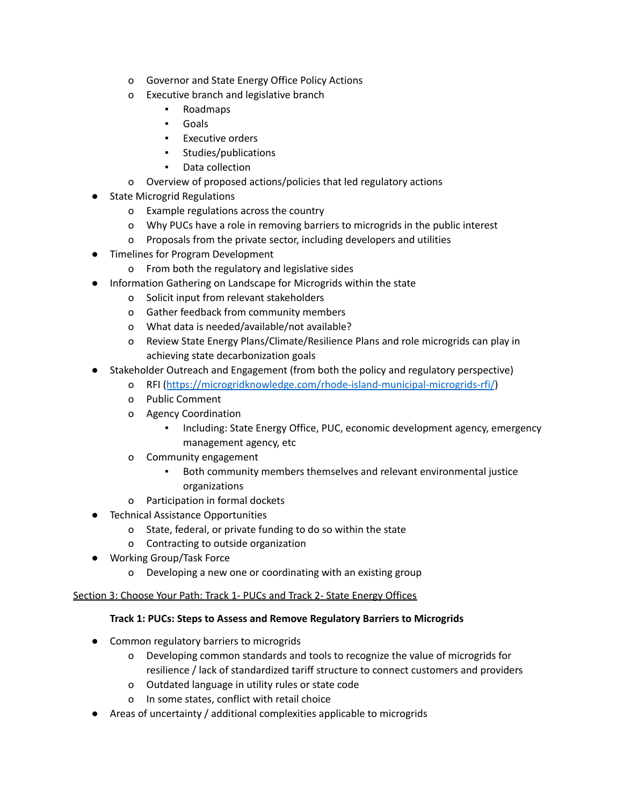- o Governor and State Energy Office Policy Actions
- o Executive branch and legislative branch
	- Roadmaps
	- Goals
	- Executive orders
	- Studies/publications
	- Data collection
- o Overview of proposed actions/policies that led regulatory actions
- **State Microgrid Regulations** 
	- o Example regulations across the country
	- o Why PUCs have a role in removing barriers to microgrids in the public interest
	- o Proposals from the private sector, including developers and utilities
- Timelines for Program Development
	- o From both the regulatory and legislative sides
- Information Gathering on Landscape for Microgrids within the state
	- o Solicit input from relevant stakeholders
	- o Gather feedback from community members
	- o What data is needed/available/not available?
	- o Review State Energy Plans/Climate/Resilience Plans and role microgrids can play in achieving state decarbonization goals
- Stakeholder Outreach and Engagement (from both the policy and regulatory perspective)
	- o RFI (<https://microgridknowledge.com/rhode-island-municipal-microgrids-rfi/>)
	- o Public Comment
	- o Agency Coordination
		- **Including: State Energy Office, PUC, economic development agency, emergency** management agency, etc
	- o Community engagement
		- Both community members themselves and relevant environmental justice organizations
	- o Participation in formal dockets
- **Technical Assistance Opportunities** 
	- o State, federal, or private funding to do so within the state
	- o Contracting to outside organization
- Working Group/Task Force
	- o Developing a new one or coordinating with an existing group

# Section 3: Choose Your Path: Track 1- PUCs and Track 2- State Energy Offices

# **Track 1: PUCs: Steps to Assess and Remove Regulatory Barriers to Microgrids**

- Common regulatory barriers to microgrids
	- o Developing common standards and tools to recognize the value of microgrids for resilience / lack of standardized tariff structure to connect customers and providers
	- o Outdated language in utility rules or state code
	- o In some states, conflict with retail choice
- Areas of uncertainty / additional complexities applicable to microgrids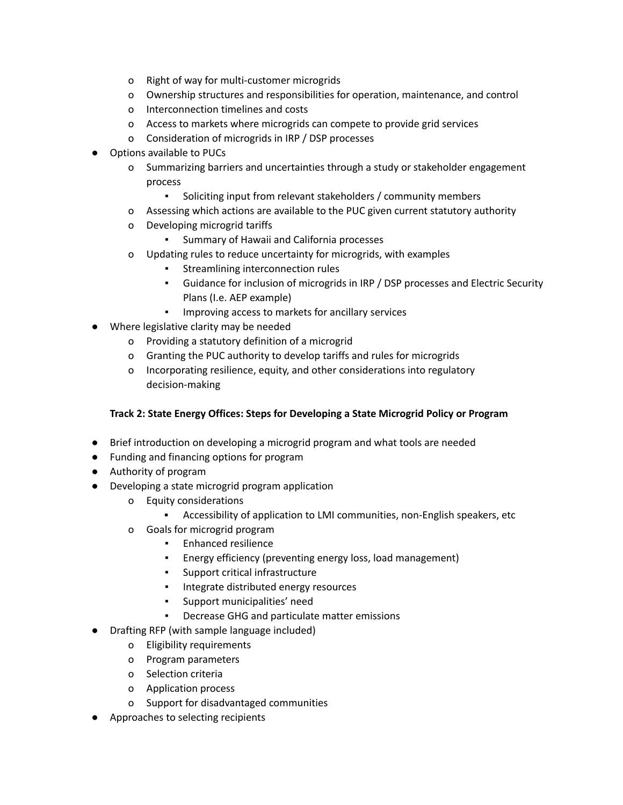- o Right of way for multi-customer microgrids
- o Ownership structures and responsibilities for operation, maintenance, and control
- o Interconnection timelines and costs
- o Access to markets where microgrids can compete to provide grid services
- o Consideration of microgrids in IRP / DSP processes
- **Options available to PUCs** 
	- o Summarizing barriers and uncertainties through a study or stakeholder engagement process
		- Soliciting input from relevant stakeholders / community members
	- o Assessing which actions are available to the PUC given current statutory authority
	- o Developing microgrid tariffs
		- Summary of Hawaii and California processes
	- o Updating rules to reduce uncertainty for microgrids, with examples
		- Streamlining interconnection rules
		- Guidance for inclusion of microgrids in IRP / DSP processes and Electric Security Plans (I.e. AEP example)
		- Improving access to markets for ancillary services
- Where legislative clarity may be needed
	- o Providing a statutory definition of a microgrid
	- o Granting the PUC authority to develop tariffs and rules for microgrids
	- o Incorporating resilience, equity, and other considerations into regulatory decision-making

### **Track 2: State Energy Offices: Steps for Developing a State Microgrid Policy or Program**

- Brief introduction on developing a microgrid program and what tools are needed
- Funding and financing options for program
- Authority of program
- Developing a state microgrid program application
	- o Equity considerations
		- Accessibility of application to LMI communities, non-English speakers, etc
	- o Goals for microgrid program
		- Enhanced resilience
		- Energy efficiency (preventing energy loss, load management)
		- Support critical infrastructure
		- Integrate distributed energy resources
		- Support municipalities' need
		- Decrease GHG and particulate matter emissions
- Drafting RFP (with sample language included)
	- o Eligibility requirements
	- o Program parameters
	- o Selection criteria
	- o Application process
	- o Support for disadvantaged communities
- Approaches to selecting recipients